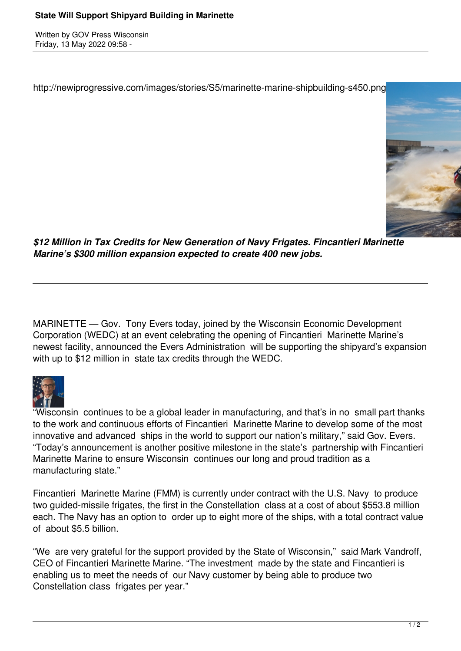Written by GOV Press Wisconsin Friday, 13 May 2022 09:58 -

http://newiprogressive.com/images/stories/S5/marinette-marine-shipbuilding-s450.png



*\$12 Million in Tax Credits for New Generation of Navy Frigates. Fincantieri Marinette Marine's \$300 million expansion expected to create 400 new jobs.*

MARINETTE — Gov. Tony Evers today, joined by the Wisconsin Economic Development Corporation (WEDC) at an event celebrating the opening of Fincantieri Marinette Marine's newest facility, announced the Evers Administration will be supporting the shipyard's expansion with up to \$12 million in state tax credits through the WEDC.



"Wisconsin continues to be a global leader in manufacturing, and that's in no small part thanks to the work and continuous efforts of Fincantieri Marinette Marine to develop some of the most innovative and advanced ships in the world to support our nation's military," said Gov. Evers. "Today's announcement is another positive milestone in the state's partnership with Fincantieri Marinette Marine to ensure Wisconsin continues our long and proud tradition as a manufacturing state."

Fincantieri Marinette Marine (FMM) is currently under contract with the U.S. Navy to produce two guided-missile frigates, the first in the Constellation class at a cost of about \$553.8 million each. The Navy has an option to order up to eight more of the ships, with a total contract value of about \$5.5 billion.

"We are very grateful for the support provided by the State of Wisconsin," said Mark Vandroff, CEO of Fincantieri Marinette Marine. "The investment made by the state and Fincantieri is enabling us to meet the needs of our Navy customer by being able to produce two Constellation class frigates per year."